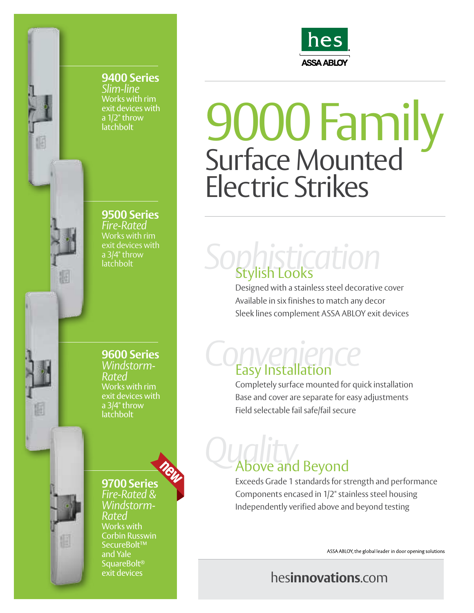

**9400 Series** *Slim-line* Works with rim exit devices with a 1/2" throw latchbolt

**9500 Series**  *Fire-Rated*

Works with rim exit devices with a 3/4" throw latchbolt

**9600 Series**  *Windstorm-Rated*  Works with rim exit devices with a 3/4" throw latchbolt

**9700 Series**  *Fire-Rated & Windstorm-Rated*  Works with Corbin Russwin SecureBolt™ and Yale SquareBolt® exit devices



## 9000 Family Surface Mounted Electric Strikes

# *Sophistication* Stylish Looks

Designed with a stainless steel decorative cover Available in six finishes to match any decor Sleek lines complement ASSA ABLOY exit devices

## *Convenience* Easy Installation

Completely surface mounted for quick installation Base and cover are separate for easy adjustments Field selectable fail safe/fail secure

## *Quality* Above and Beyond

Exceeds Grade 1 standards for strength and performance Components encased in 1/2" stainless steel housing Independently verified above and beyond testing

ASSA ABLOY, the global leader in door opening solutions

### hes**innovations**.com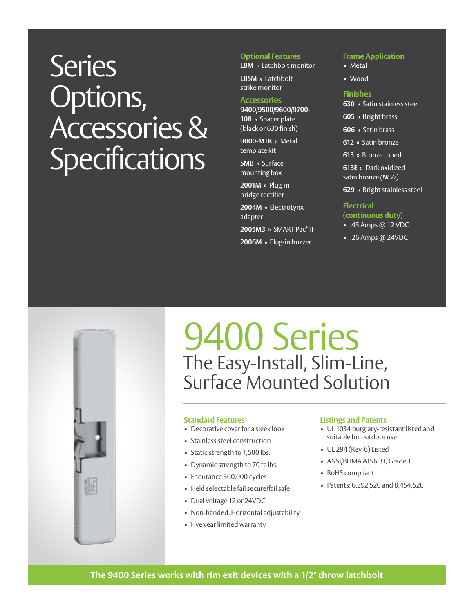## **Series** Options, Accessories & **Specifications**

#### **Optional Features**

**LBM** » Latchbolt monitor

**LBSM** » Latchbolt strike monitor

#### **Accessories**

**9400/9500/9600/9700- 108** » Spacer plate (black or 630 finish)

**9000-MTK** » Metal template kit

**SMB** » Surface mounting box

**2001M** » Plug-in bridge rectifier

**2004M** » ElectroLynx adapter

**2005M3** » SMART Pac<sup>®</sup> III

**2006M** » Plug-in buzzer

#### **Frame Application**

- Metal
- Wood

#### **Finishes**

**630** » Satin stainless steel

**605** » Bright brass

**606** » Satin brass

**612** » Satin bronze

**613** » Bronze toned

**613E** » Dark oxidized satin bronze *(NEW)*

**629** » Bright stainless steel

#### **Electrical**

**(continuous duty)** • .45 Amps @ 12 VDC

• .26 Amps @ 24VDC



### 9400 Series The Easy-Install, Slim-Line, Surface Mounted Solution

#### **Standard Features**

- Decorative cover for a sleek look
- Stainless steel construction
- Static strength to 1,500 lbs.
- Dynamic strength to 70 ft-lbs.
- Endurance 500,000 cycles
- Field selectable fail secure/fail safe
- Dual voltage 12 or 24VDC
- Non-handed. Horizontal adjustability
- Five year limited warranty

#### **Listings and Patents**

- UL 1034 burglary-resistant listed and suitable for outdoor use
- UL 294 (Rev. 6) Listed
- ANSI/BHMA A156.31, Grade 1
- RoHS compliant
- Patents: 6,392,520 and 8,454,520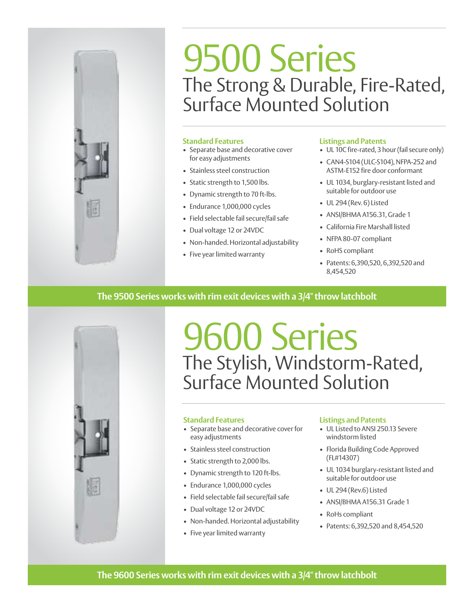

### 9500 Series The Strong & Durable, Fire-Rated, Surface Mounted Solution

#### **Standard Features**

- Separate base and decorative cover for easy adjustments
- Stainless steel construction
- Static strength to 1,500 lbs.
- Dynamic strength to 70 ft-lbs.
- Endurance 1,000,000 cycles
- Field selectable fail secure/fail safe
- Dual voltage 12 or 24VDC
- Non-handed. Horizontal adjustability
- Five year limited warranty

#### **Listings and Patents**

- UL 10C fire-rated, 3 hour (fail secure only)
- CAN4-S104 (ULC-S104), NFPA-252 and ASTM-E152 fire door conformant
- UL 1034, burglary-resistant listed and suitable for outdoor use
- UL 294 (Rev. 6) Listed
- ANSI/BHMA A156.31, Grade 1
- California Fire Marshall listed
- NFPA 80-07 compliant
- RoHS compliant
- Patents: 6,390,520, 6,392,520 and 8,454,520

#### **The 9500 Series works with rim exit devices with a 3/4" throw latchbolt**



### 9600 Series The Stylish, Windstorm-Rated, Surface Mounted Solution

#### **Standard Features**

- Separate base and decorative cover for easy adjustments
- Stainless steel construction
- Static strength to 2,000 lbs.
- Dynamic strength to 120 ft-lbs.
- Endurance 1,000,000 cycles
- Field selectable fail secure/fail safe
- Dual voltage 12 or 24VDC
- Non-handed. Horizontal adjustability
- Five year limited warranty

#### **Listings and Patents**

- UL Listed to ANSI 250.13 Severe windstorm listed
- Florida Building Code Approved (FL#14307)
- UL 1034 burglary-resistant listed and suitable for outdoor use
- UL 294 (Rev.6) Listed
- ANSI/BHMA A156.31 Grade 1
- RoHs compliant
- Patents: 6,392,520 and 8,454,520